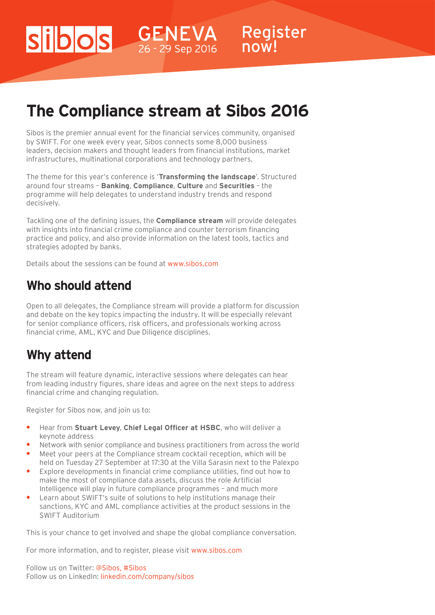# **The Compliance stream at Sibos 2016**

Register

now!

Sibos is the premier annual event for the financial services community, organised by SWIFT. For one week every year, Sibos connects some 8,000 business leaders, decision makers and thought leaders from financial institutions, market infrastructures, multinational corporations and technology partners.

The theme for this year's conference is '**Transforming the landscape**'. Structured around four streams – **Banking**, **Compliance**, **Culture** and **Securities** – the programme will help delegates to understand industry trends and respond decisively.

Tackling one of the defining issues, the **Compliance stream** will provide delegates with insights into financial crime compliance and counter terrorism financing practice and policy, and also provide information on the latest tools, tactics and strategies adopted by banks.

Details about the sessions can be found at www.sibos.com

 $\vert$ S $\vert$ 

### **Who should attend**

Open to all delegates, the Compliance stream will provide a platform for discussion and debate on the key topics impacting the industry. It will be especially relevant for senior compliance officers, risk officers, and professionals working across financial crime, AML, KYC and Due Diligence disciplines.

## **Why attend**

The stream will feature dynamic, interactive sessions where delegates can hear from leading industry figures, share ideas and agree on the next steps to address financial crime and changing regulation.

Register for Sibos now, and join us to:

- **•** Hear from **Stuart Levey**, **Chief Legal Officer at HSBC**, who will deliver a keynote address
- **•** Network with senior compliance and business practitioners from across the world
- **•** Meet your peers at the Compliance stream cocktail reception, which will be held on Tuesday 27 September at 17:30 at the Villa Sarasin next to the Palexpo
- **•** Explore developments in financial crime compliance utilities, find out how to make the most of compliance data assets, discuss the role Artificial Intelligence will play in future compliance programmes – and much more
- **•** Learn about SWIFT's suite of solutions to help institutions manage their sanctions, KYC and AML compliance activities at the product sessions in the SWIFT Auditorium

This is your chance to get involved and shape the global compliance conversation.

For more information, and to register, please visit [www.sibos.com](http://www.sibos.com)

Follow us on Twitter: [@Sibos](https://twitter.com/Sibos), [#Sibos](https://twitter.com/hashtag/Sibos) Follow us on LinkedIn: linkedin.com/company/sibos